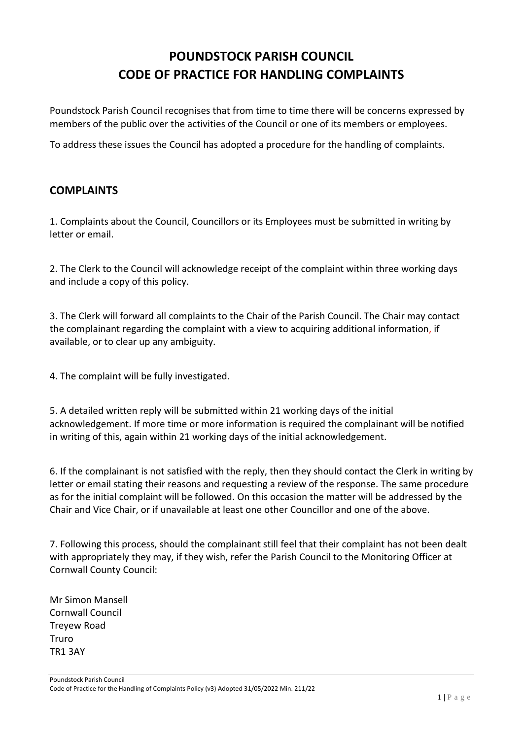## **POUNDSTOCK PARISH COUNCIL CODE OF PRACTICE FOR HANDLING COMPLAINTS**

Poundstock Parish Council recognises that from time to time there will be concerns expressed by members of the public over the activities of the Council or one of its members or employees.

To address these issues the Council has adopted a procedure for the handling of complaints.

## **COMPLAINTS**

1. Complaints about the Council, Councillors or its Employees must be submitted in writing by letter or email.

2. The Clerk to the Council will acknowledge receipt of the complaint within three working days and include a copy of this policy.

3. The Clerk will forward all complaints to the Chair of the Parish Council. The Chair may contact the complainant regarding the complaint with a view to acquiring additional information, if available, or to clear up any ambiguity.

4. The complaint will be fully investigated.

5. A detailed written reply will be submitted within 21 working days of the initial acknowledgement. If more time or more information is required the complainant will be notified in writing of this, again within 21 working days of the initial acknowledgement.

6. If the complainant is not satisfied with the reply, then they should contact the Clerk in writing by letter or email stating their reasons and requesting a review of the response. The same procedure as for the initial complaint will be followed. On this occasion the matter will be addressed by the Chair and Vice Chair, or if unavailable at least one other Councillor and one of the above.

7. Following this process, should the complainant still feel that their complaint has not been dealt with appropriately they may, if they wish, refer the Parish Council to the Monitoring Officer at Cornwall County Council:

Mr Simon Mansell Cornwall Council Treyew Road Truro TR1 3AY